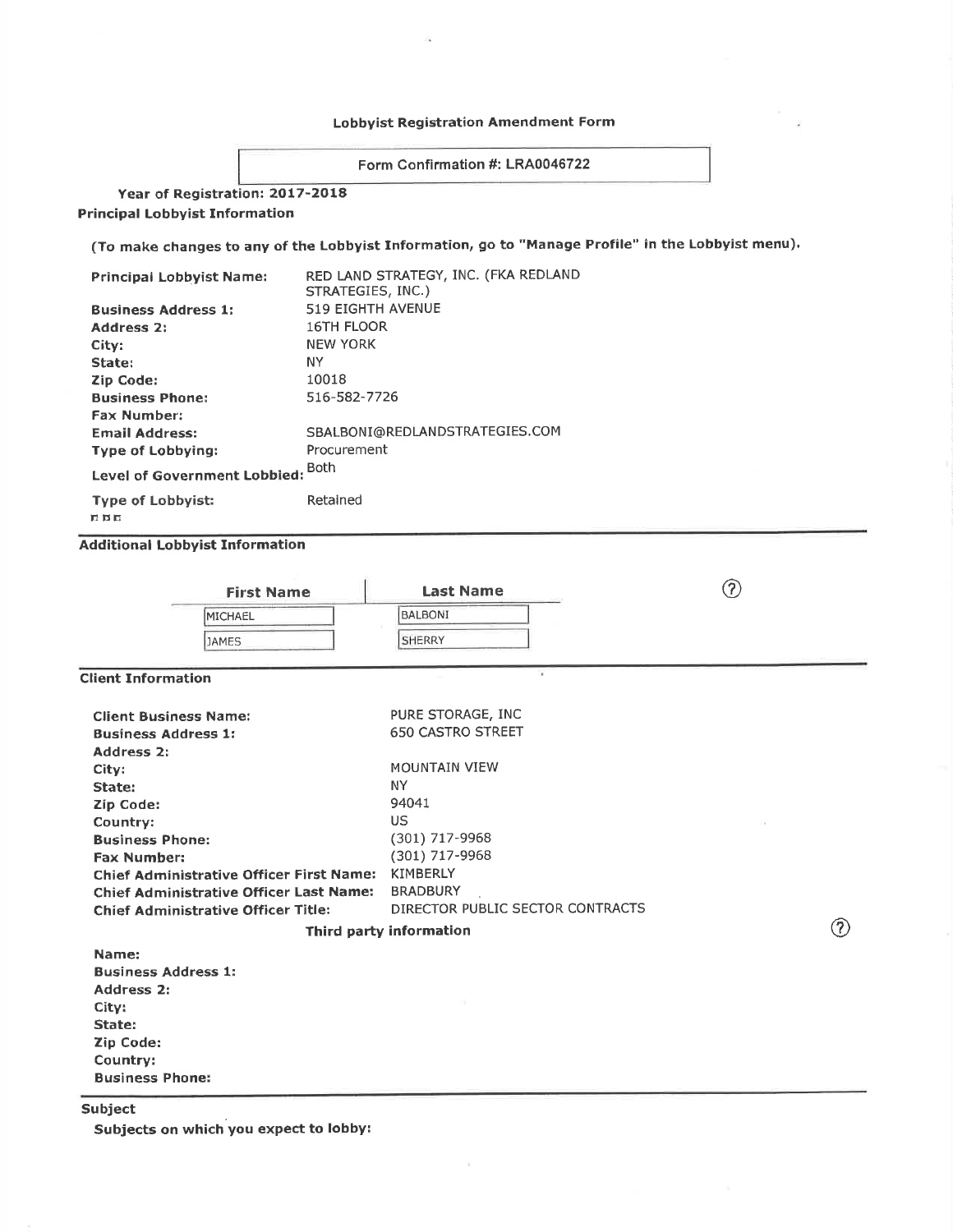# Lobbyist Registration Amendment Form

Form Confirmation #: LR40046722

Year of Registration: 2017-2O18 Principal Lobbyist Information

(To make changes to any of the Lobbyist Information, go to "Manage Profile" in the Lobbyist menu).

| Principal Lobbyist Name:          | RED LAND STRATEGY, INC. (FKA REDLAND<br>STRATEGIES, INC.) |
|-----------------------------------|-----------------------------------------------------------|
| <b>Business Address 1:</b>        | <b>519 EIGHTH AVENUE</b>                                  |
| <b>Address 2:</b>                 | <b>16TH FLOOR</b>                                         |
| City:                             | <b>NEW YORK</b>                                           |
| State:                            | NY.                                                       |
| Zip Code:                         | 10018                                                     |
| <b>Business Phone:</b>            | 516-582-7726                                              |
| <b>Fax Number:</b>                |                                                           |
| <b>Email Address:</b>             | SBALBONI@REDLANDSTRATEGIES.COM                            |
| <b>Type of Lobbying:</b>          | Procurement                                               |
| Level of Government Lobbied: Both |                                                           |
| <b>Type of Lobbyist:</b>          | Retained                                                  |

ñ Þt:

Additional Lobbyist Information

| <b>Last Name</b>                 | (7)                |
|----------------------------------|--------------------|
| <b>BALBONI</b>                   |                    |
| <b>SHERRY</b>                    |                    |
|                                  |                    |
| PURE STORAGE, INC                |                    |
| <b>650 CASTRO STREET</b>         |                    |
|                                  |                    |
| <b>MOUNTAIN VIEW</b>             |                    |
| <b>NY</b>                        |                    |
| 94041                            |                    |
| US.                              |                    |
| (301) 717-9968                   |                    |
| (301) 717-9968                   |                    |
| <b>KIMBERLY</b>                  |                    |
| <b>BRADBURY</b>                  |                    |
| DIRECTOR PUBLIC SECTOR CONTRACTS | $\curvearrowright$ |
|                                  |                    |

Third party information

 $\circled{c}$ 

Name: Business Address 1; Address 2¡ City: State: Zip Code: Country: Business Phoner

Subject

Subjects on which you expect to lobby: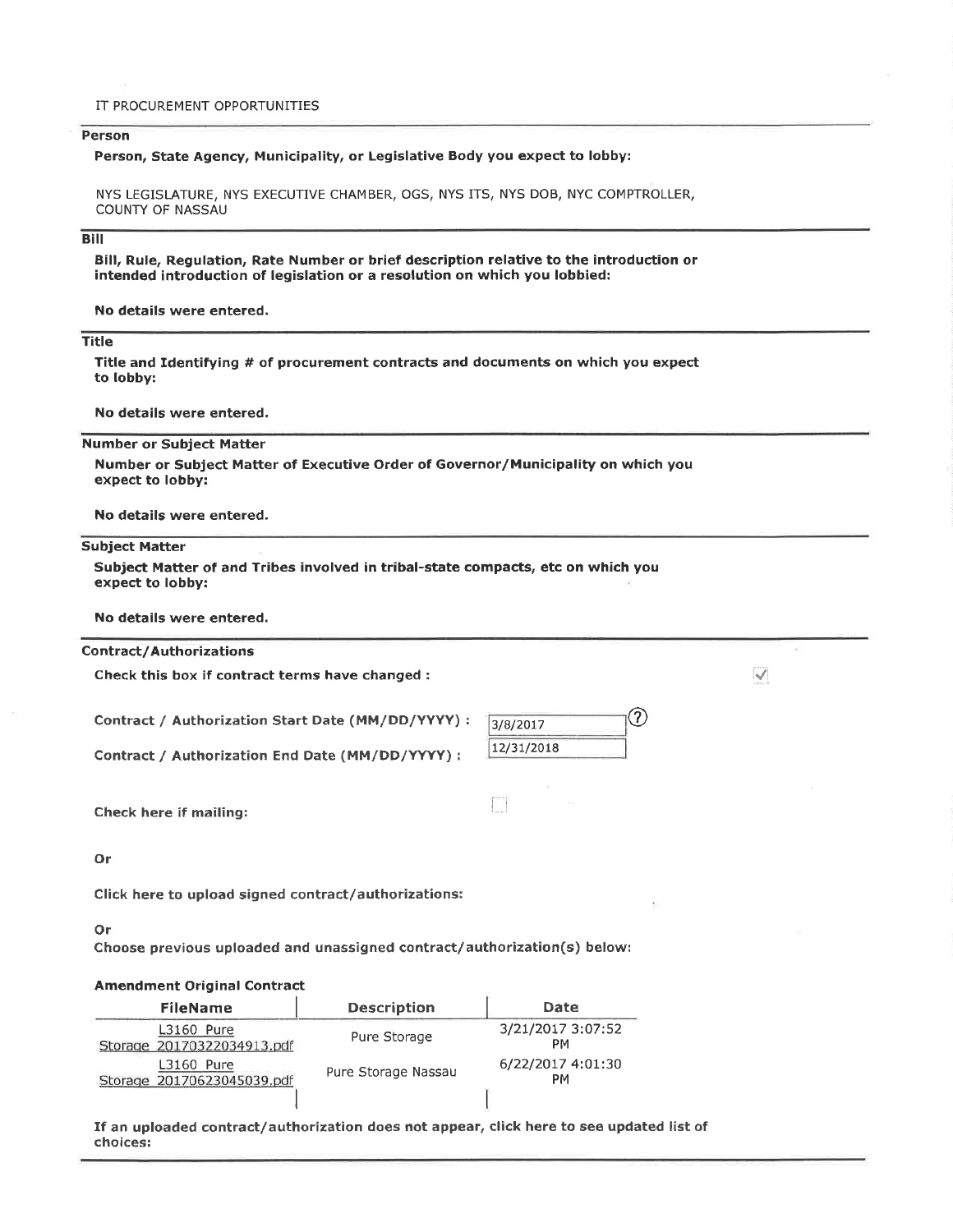#### IT PROCUREMENT OPPORTUNITIES

### Person

#### Person, State Agency, Municipality, or Legislative Body you expect to lobby:

NYS LEGISLATURE, NYS EXECUTIVE CHAMBER, OGS, NYS ITS, NYS DOB, NYC COMPTROLLER, **COUNTY OF NASSAU** 

## **Bill**

Bill, Rule, Regulation, Rate Number or brief description relative to the introduction or intended introduction of legislation or a resolution on which you lobbied:

No details were entered.

#### **Title**

Title and Identifying # of procurement contracts and documents on which you expect to lobby:

No details were entered.

**Number or Subject Matter** 

Number or Subject Matter of Executive Order of Governor/Municipality on which you expect to lobby:

No details were entered.

#### **Subject Matter**

Subject Matter of and Tribes involved in tribal-state compacts, etc on which you expect to lobby:

No details were entered.

### **Contract/Authorizations**

Check this box if contract terms have changed :

Contract / Authorization Start Date (MM/DD/YYYY) :

Contract / Authorization End Date (MM/DD/YYYY) :

| 3/8/2017   |  |
|------------|--|
| 12/31/2018 |  |

 $\Box$ 

 $\triangledown$ 

Check here if mailing:

Or

Click here to upload signed contract/authorizations:

#### Or

Choose previous uploaded and unassigned contract/authorization(s) below:

## **Amendment Original Contract**

| <b>FileName</b>                                 | <b>Description</b>  | Date                    |
|-------------------------------------------------|---------------------|-------------------------|
| <b>L3160 Pure</b><br>Storage 20170322034913.pdf | Pure Storage        | 3/21/2017 3:07:52<br>PМ |
| <b>L3160 Pure</b><br>Storage 20170623045039.pdf | Pure Storage Nassau | 6/22/2017 4:01:30<br>PМ |
|                                                 |                     |                         |

If an uploaded contract/authorization does not appear, click here to see updated list of choices: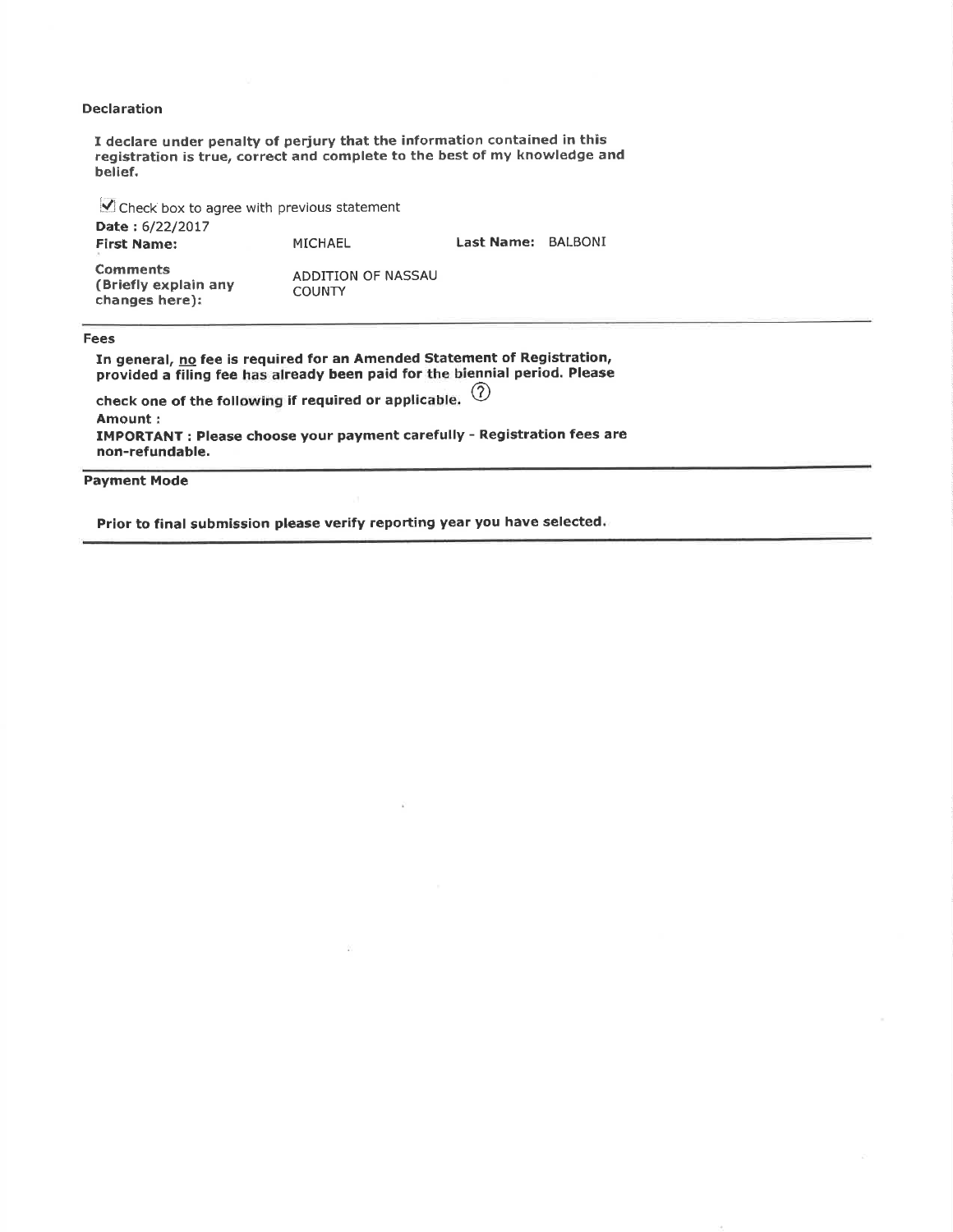# Declaration

I declare under penalty of periury that the information contained in this registration is true, correct and complete to the best of my knowledge and belief.

 $\vee$  Check box to agree with previous statement Date: 6/22/2017<br>First Name: MICHAEL Last Name: BALBONI **Comments** (Briefly explain any changes here); ADDITION OF NASSAU **COUNTY** 

Fees

In general, <u>no</u> fee is required for an Amended Statement of Registration provided a filing fee has already been paid for the biennial period. Please check one of the following if required or applicable.  $\circled{2}$ Amount i IMPORTANT : Please choose your payment carefully - Registration fees are non-refundable.

Payment Mode

Prior to final submission please verify reporting year you have selected.